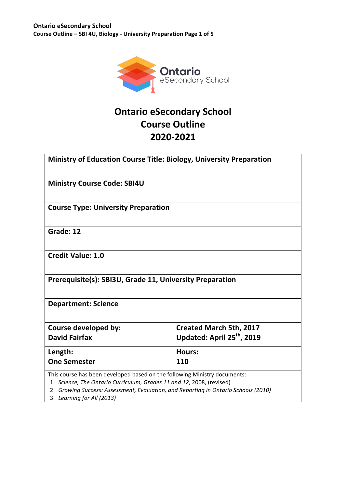

# **Ontario eSecondary School Course Outline 2020-2021**

| <b>Ministry of Education Course Title: Biology, University Preparation</b>                                                                                                                                                                                              |                                        |  |  |
|-------------------------------------------------------------------------------------------------------------------------------------------------------------------------------------------------------------------------------------------------------------------------|----------------------------------------|--|--|
| <b>Ministry Course Code: SBI4U</b>                                                                                                                                                                                                                                      |                                        |  |  |
| <b>Course Type: University Preparation</b>                                                                                                                                                                                                                              |                                        |  |  |
| Grade: 12                                                                                                                                                                                                                                                               |                                        |  |  |
| <b>Credit Value: 1.0</b>                                                                                                                                                                                                                                                |                                        |  |  |
| Prerequisite(s): SBI3U, Grade 11, University Preparation                                                                                                                                                                                                                |                                        |  |  |
| <b>Department: Science</b>                                                                                                                                                                                                                                              |                                        |  |  |
| Course developed by:                                                                                                                                                                                                                                                    | <b>Created March 5th, 2017</b>         |  |  |
| <b>David Fairfax</b>                                                                                                                                                                                                                                                    | Updated: April 25 <sup>th</sup> , 2019 |  |  |
| Length:                                                                                                                                                                                                                                                                 | <b>Hours:</b>                          |  |  |
| <b>One Semester</b>                                                                                                                                                                                                                                                     | 110                                    |  |  |
| This course has been developed based on the following Ministry documents:<br>1. Science, The Ontario Curriculum, Grades 11 and 12, 2008, (revised)<br>2. Growing Success: Assessment, Evaluation, and Reporting in Ontario Schools (2010)<br>3. Learning for All (2013) |                                        |  |  |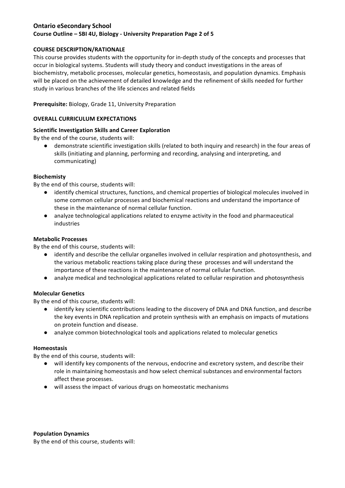## **Ontario eSecondary School Course Outline - SBI 4U, Biology - University Preparation Page 2 of 5**

### **COURSE DESCRIPTION/RATIONALE**

This course provides students with the opportunity for in-depth study of the concepts and processes that occur in biological systems. Students will study theory and conduct investigations in the areas of biochemistry, metabolic processes, molecular genetics, homeostasis, and population dynamics. Emphasis will be placed on the achievement of detailed knowledge and the refinement of skills needed for further study in various branches of the life sciences and related fields

**Prerequisite:** Biology, Grade 11, University Preparation

### **OVERALL CURRICULUM EXPECTATIONS**

### **Scientific Investigation Skills and Career Exploration**

By the end of the course, students will:

● demonstrate scientific investigation skills (related to both inquiry and research) in the four areas of skills (initiating and planning, performing and recording, analysing and interpreting, and communicating)

#### **Biochemisty**

By the end of this course, students will:

- identify chemical structures, functions, and chemical properties of biological molecules involved in some common cellular processes and biochemical reactions and understand the importance of these in the maintenance of normal cellular function.
- analyze technological applications related to enzyme activity in the food and pharmaceutical industries

#### **Metabolic Processes**

By the end of this course, students will:

- identify and describe the cellular organelles involved in cellular respiration and photosynthesis, and the various metabolic reactions taking place during these processes and will understand the importance of these reactions in the maintenance of normal cellular function.
- analyze medical and technological applications related to cellular respiration and photosynthesis

#### **Molecular Genetics**

By the end of this course, students will:

- identify key scientific contributions leading to the discovery of DNA and DNA function, and describe the key events in DNA replication and protein synthesis with an emphasis on impacts of mutations on protein function and disease.
- analyze common biotechnological tools and applications related to molecular genetics

#### **Homeostasis**

By the end of this course, students will:

- will identify key components of the nervous, endocrine and excretory system, and describe their role in maintaining homeostasis and how select chemical substances and environmental factors affect these processes.
- will assess the impact of various drugs on homeostatic mechanisms

#### **Population Dynamics**

By the end of this course, students will: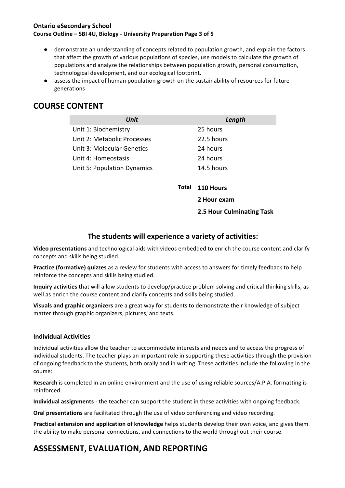### **Ontario eSecondary School Course Outline - SBI 4U, Biology - University Preparation Page 3 of 5**

- demonstrate an understanding of concepts related to population growth, and explain the factors that affect the growth of various populations of species, use models to calculate the growth of populations and analyze the relationships between population growth, personal consumption, technological development, and our ecological footprint.
- assess the impact of human population growth on the sustainability of resources for future generations

# **COURSE CONTENT**

| Unit                        |       | Length           |
|-----------------------------|-------|------------------|
| Unit 1: Biochemistry        |       | 25 hours         |
| Unit 2: Metabolic Processes |       | 22.5 hours       |
| Unit 3: Molecular Genetics  |       | 24 hours         |
| Unit 4: Homeostasis         |       | 24 hours         |
| Unit 5: Population Dynamics |       | 14.5 hours       |
|                             |       |                  |
|                             | Total | <b>110 Hours</b> |

**2.5 Hour Culminating Task**

**2 Hour exam**

# The students will experience a variety of activities:

**Video presentations** and technological aids with videos embedded to enrich the course content and clarify concepts and skills being studied.

**Practice (formative) quizzes** as a review for students with access to answers for timely feedback to help reinforce the concepts and skills being studied.

**Inquiry activities** that will allow students to develop/practice problem solving and critical thinking skills, as well as enrich the course content and clarify concepts and skills being studied.

**Visuals and graphic organizers** are a great way for students to demonstrate their knowledge of subject matter through graphic organizers, pictures, and texts.

### **Individual Activities**

Individual activities allow the teacher to accommodate interests and needs and to access the progress of individual students. The teacher plays an important role in supporting these activities through the provision of ongoing feedback to the students, both orally and in writing. These activities include the following in the course:

**Research** is completed in an online environment and the use of using reliable sources/A.P.A. formatting is reinforced.

**Individual assignments** - the teacher can support the student in these activities with ongoing feedback.

**Oral presentations** are facilitated through the use of video conferencing and video recording.

**Practical extension and application of knowledge** helps students develop their own voice, and gives them the ability to make personal connections, and connections to the world throughout their course.

# **ASSESSMENT, EVALUATION, AND REPORTING**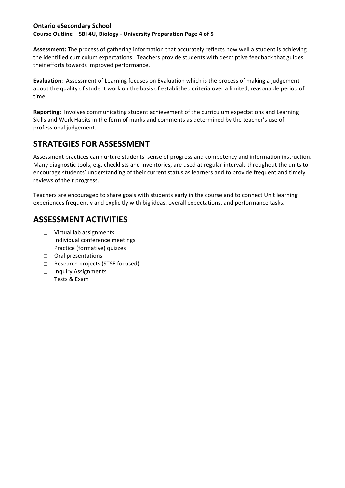### **Ontario eSecondary School Course Outline - SBI 4U, Biology - University Preparation Page 4 of 5**

Assessment: The process of gathering information that accurately reflects how well a student is achieving the identified curriculum expectations. Teachers provide students with descriptive feedback that guides their efforts towards improved performance.

**Evaluation**: Assessment of Learning focuses on Evaluation which is the process of making a judgement about the quality of student work on the basis of established criteria over a limited, reasonable period of time. 

**Reporting:** Involves communicating student achievement of the curriculum expectations and Learning Skills and Work Habits in the form of marks and comments as determined by the teacher's use of professional judgement.

# **STRATEGIES FOR ASSESSMENT**

Assessment practices can nurture students' sense of progress and competency and information instruction. Many diagnostic tools, e.g. checklists and inventories, are used at regular intervals throughout the units to encourage students' understanding of their current status as learners and to provide frequent and timely reviews of their progress.

Teachers are encouraged to share goals with students early in the course and to connect Unit learning experiences frequently and explicitly with big ideas, overall expectations, and performance tasks.

# **ASSESSMENT ACTIVITIES**

- □ Virtual lab assignments
- $\Box$  Individual conference meetings
- □ Practice (formative) quizzes
- □ Oral presentations
- □ Research projects (STSE focused)
- ❑ Inquiry Assignments
- ❑ Tests & Exam